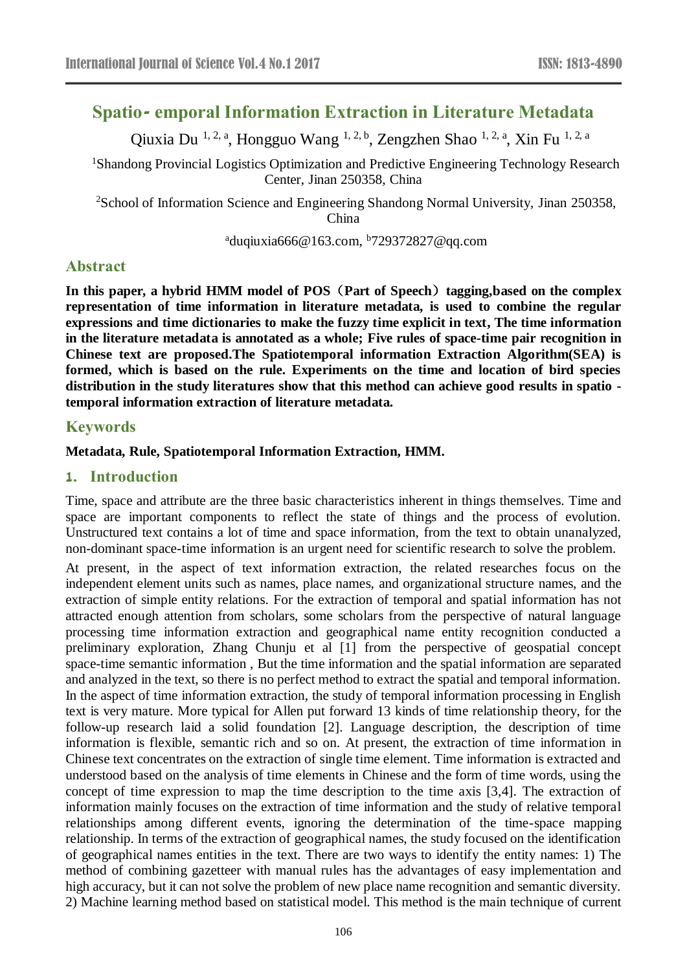# **Spatio- emporal Information Extraction in Literature Metadata**

Qiuxia Du <sup>1, 2, a</sup>, Hongguo Wang <sup>1, 2, b</sup>, Zengzhen Shao <sup>1, 2, a</sup>, Xin Fu <sup>1, 2, a</sup>

<sup>1</sup>Shandong Provincial Logistics Optimization and Predictive Engineering Technology Research Center, Jinan 250358, China

<sup>2</sup>School of Information Science and Engineering Shandong Normal University, Jinan 250358, China

 $^{a}$ duqiuxia666@163.com,  $^{b}729372827$ @qq.com

## **Abstract**

**In this paper, a hybrid HMM model of POS**(**Part of Speech**)**tagging,based on the complex representation of time information in literature metadata, is used to combine the regular expressions and time dictionaries to make the fuzzy time explicit in text, The time information in the literature metadata is annotated as a whole; Five rules of space-time pair recognition in Chinese text are proposed.The Spatiotemporal information Extraction Algorithm(SEA) is formed, which is based on the rule. Experiments on the time and location of bird species distribution in the study literatures show that this method can achieve good results in spatio temporal information extraction of literature metadata.**

### **Keywords**

#### **Metadata, Rule, Spatiotemporal Information Extraction, HMM.**

#### **1. Introduction**

Time, space and attribute are the three basic characteristics inherent in things themselves. Time and space are important components to reflect the state of things and the process of evolution. Unstructured text contains a lot of time and space information, from the text to obtain unanalyzed, non-dominant space-time information is an urgent need for scientific research to solve the problem.

At present, in the aspect of text information extraction, the related researches focus on the independent element units such as names, place names, and organizational structure names, and the extraction of simple entity relations. For the extraction of temporal and spatial information has not attracted enough attention from scholars, some scholars from the perspective of natural language processing time information extraction and geographical name entity recognition conducted a preliminary exploration, Zhang Chunju et al [1] from the perspective of geospatial concept space-time semantic information , But the time information and the spatial information are separated and analyzed in the text, so there is no perfect method to extract the spatial and temporal information. In the aspect of time information extraction, the study of temporal information processing in English text is very mature. More typical for Allen put forward 13 kinds of time relationship theory, for the follow-up research laid a solid foundation [2]. Language description, the description of time information is flexible, semantic rich and so on. At present, the extraction of time information in Chinese text concentrates on the extraction of single time element. Time information is extracted and understood based on the analysis of time elements in Chinese and the form of time words, using the concept of time expression to map the time description to the time axis [3,4]. The extraction of information mainly focuses on the extraction of time information and the study of relative temporal relationships among different events, ignoring the determination of the time-space mapping relationship. In terms of the extraction of geographical names, the study focused on the identification of geographical names entities in the text. There are two ways to identify the entity names: 1) The method of combining gazetteer with manual rules has the advantages of easy implementation and high accuracy, but it can not solve the problem of new place name recognition and semantic diversity. 2) Machine learning method based on statistical model. This method is the main technique of current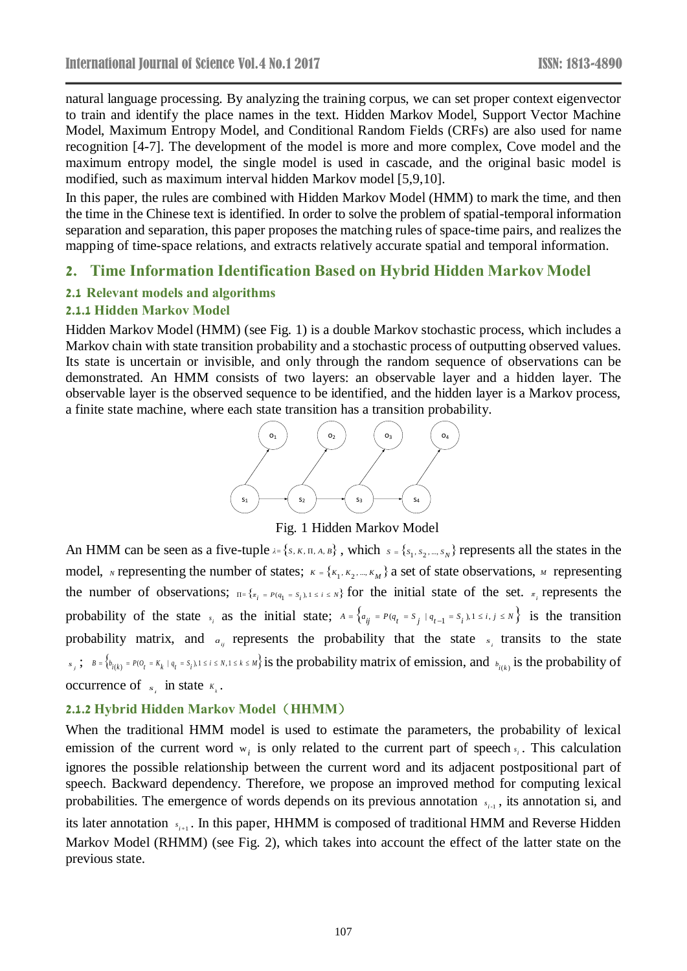natural language processing. By analyzing the training corpus, we can set proper context eigenvector to train and identify the place names in the text. Hidden Markov Model, Support Vector Machine Model, Maximum Entropy Model, and Conditional Random Fields (CRFs) are also used for name recognition [4-7]. The development of the model is more and more complex, Cove model and the maximum entropy model, the single model is used in cascade, and the original basic model is modified, such as maximum interval hidden Markov model [5,9,10].

In this paper, the rules are combined with Hidden Markov Model (HMM) to mark the time, and then the time in the Chinese text is identified. In order to solve the problem of spatial-temporal information separation and separation, this paper proposes the matching rules of space-time pairs, and realizes the mapping of time-space relations, and extracts relatively accurate spatial and temporal information.

#### **2. Time Information Identification Based on Hybrid Hidden Markov Model**

#### **2.1 Relevant models and algorithms**

### **2.1.1 Hidden Markov Model**

Hidden Markov Model (HMM) (see Fig. 1) is a double Markov stochastic process, which includes a Markov chain with state transition probability and a stochastic process of outputting observed values. Its state is uncertain or invisible, and only through the random sequence of observations can be demonstrated. An HMM consists of two layers: an observable layer and a hidden layer. The observable layer is the observed sequence to be identified, and the hidden layer is a Markov process, a finite state machine, where each state transition has a transition probability.



Fig. 1 Hidden Markov Model

An HMM can be seen as a five-tuple  $\lambda = \{s, K, \Pi, A, B\}$ , which  $s = \{s_1, s_2, ..., s_N\}$  represents all the states in the model, *N* representing the number of states;  $K = \{K_1, K_2, ..., K_M\}$  a set of state observations, *M* representing the number of observations;  $\pi = \{x_i = P(q_1 = s_i)\}\$  for the initial state of the set.  $\pi_i$  represents the probability of the state  $s_i$  as the initial state;  $A = \{a_{ij} = P(q_t = s_j | q_{t-1} = s_i), 1 \le i, j \le N\}$  is the transition probability matrix, and  $a_{ij}$  represents the probability that the state  $s_i$  transits to the state  $s_j$ ;  $B = \{b_{i(k)} = P(O_t = K_k | q_t = S_i), 1 \le i \le N, 1 \le k \le M\}$  is the probability matrix of emission, and  $b_{i(k)}$  is the probability of occurrence of  $s_i$  in state  $K_i$ .

#### **2.1.2 Hybrid Hidden Markov Model**(**HHMM**)

When the traditional HMM model is used to estimate the parameters, the probability of lexical emission of the current word  $w_i$  is only related to the current part of speech  $s_i$ . This calculation ignores the possible relationship between the current word and its adjacent postpositional part of speech. Backward dependency. Therefore, we propose an improved method for computing lexical probabilities. The emergence of words depends on its previous annotation  $s_{i+1}$ , its annotation si, and its later annotation  $s_{i+1}$ . In this paper, HHMM is composed of traditional HMM and Reverse Hidden Markov Model (RHMM) (see Fig. 2), which takes into account the effect of the latter state on the previous state.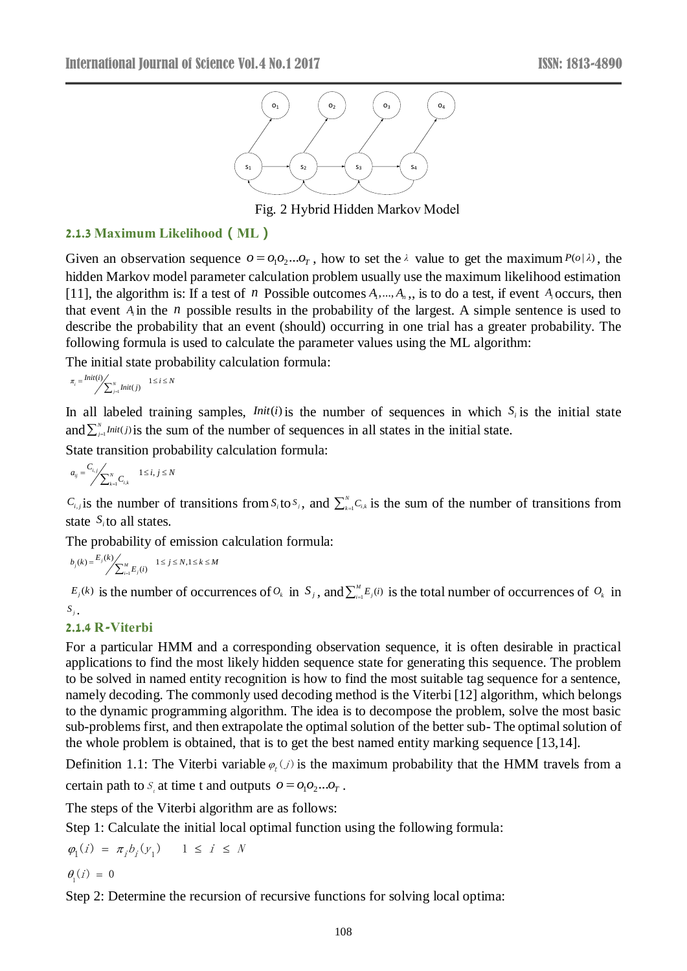

Fig. 2 Hybrid Hidden Markov Model

#### **2.1.3 Maximum Likelihood(ML)**

Given an observation sequence  $o = o_1 o_2 ... o_T$ , how to set the  $\lambda$  value to get the maximum  $P(o|\lambda)$ , the hidden Markov model parameter calculation problem usually use the maximum likelihood estimation [11], the algorithm is: If a test of *n* Possible outcomes  $A_1, \ldots, A_n$ , is to do a test, if event  $A_i$  occurs, then that event  $A_i$  in the  $n$  possible results in the probability of the largest. A simple sentence is used to describe the probability that an event (should) occurring in one trial has a greater probability. The following formula is used to calculate the parameter values using the ML algorithm:

The initial state probability calculation formula:

$$
\pi_i = \frac{Init(i)}{\sum_{j=1}^NInit(j)} \quad 1 \le i \le N
$$

In all labeled training samples, *Init*(*i*) is the number of sequences in which  $S_i$  is the initial state and  $\sum_{j=1}^{N}Init(j)$  is the sum of the number of sequences in all states in the initial state.

State transition probability calculation formula:

$$
a_{ij} = \frac{C_{i,j}}{\sum_{k=1}^{N} C_{i,k}} \qquad 1 \le i, j \le N
$$

 $C_{i,j}$  is the number of transitions from  $S_i$  to  $S_j$ , and  $\sum_{k=1}^{N} C_{i,j}$  $\sum_{k=1}^{N} C_{i,k}$  is the sum of the number of transitions from state  $S_i$  to all states.

The probability of emission calculation formula:

$$
b_j(k) = \frac{E_j(k)}{\sum_{i=1}^M E_j(i)} \quad 1 \le j \le N, 1 \le k \le M
$$

 $E_j(k)$  is the number of occurrences of  $O_k$  in  $S_j$ , and  $\sum_{i=1}^M E_j(i)$  is the total number of occurrences of  $O_k$  in  $S_i$ .

## **2.1.4 R-Viterbi**

For a particular HMM and a corresponding observation sequence, it is often desirable in practical applications to find the most likely hidden sequence state for generating this sequence. The problem to be solved in named entity recognition is how to find the most suitable tag sequence for a sentence, namely decoding. The commonly used decoding method is the Viterbi [12] algorithm, which belongs to the dynamic programming algorithm. The idea is to decompose the problem, solve the most basic sub-problems first, and then extrapolate the optimal solution of the better sub- The optimal solution of the whole problem is obtained, that is to get the best named entity marking sequence [13,14].

Definition 1.1: The Viterbi variable  $\varphi_t(j)$  is the maximum probability that the HMM travels from a

certain path to  $S_t$  at time t and outputs  $o = o_1 o_2 ... o_T$ .

The steps of the Viterbi algorithm are as follows:

Step 1: Calculate the initial local optimal function using the following formula:

$$
\varphi_1(i) = \pi_i b_i(y_1) \quad 1 \le i \le N
$$
  

$$
\theta_1(i) = 0
$$

Step 2: Determine the recursion of recursive functions for solving local optima: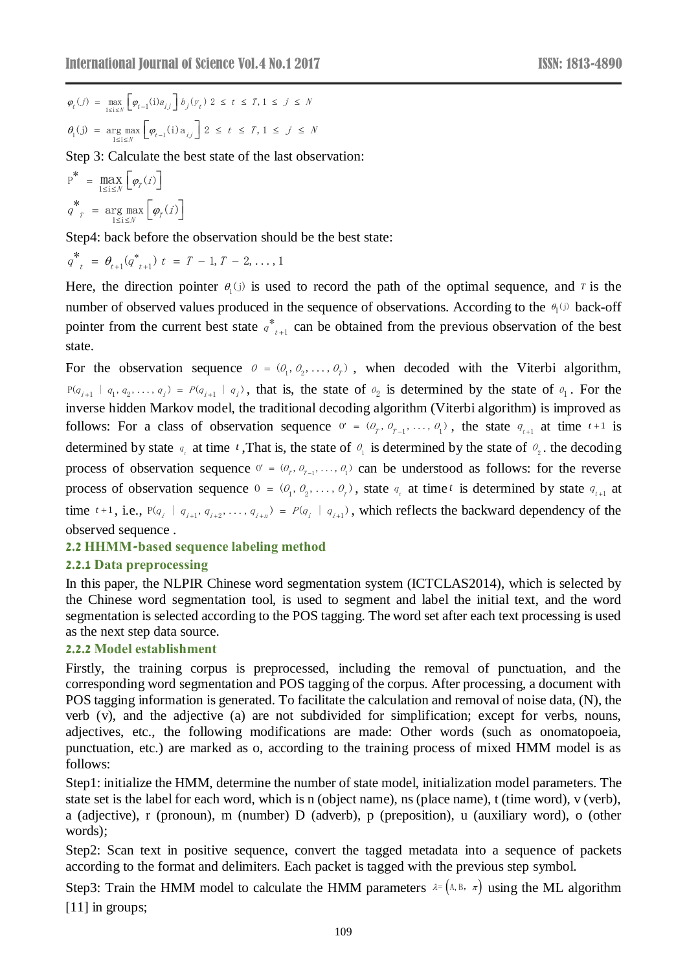$$
\begin{aligned} \varphi_t(j) \; &= \; \max_{1 \leq i \leq N} \left[ \varphi_{t-1}(i) a_{ij} \right] b_j(y_t) \; 2 \; \leq \; t \; \leq \; T, 1 \; \leq \; j \; \leq \; N \\ \theta_i(j) \; &= \; \arg \max_{1 \leq i \leq N} \left[ \varphi_{t-1}(i) a_{ij} \right] 2 \; \leq \; t \; \leq \; T, 1 \; \leq \; j \; \leq \; N \end{aligned}
$$

Step 3: Calculate the best state of the last observation:

$$
P^* = \max_{1 \le i \le N} \left[ \varphi_r(i) \right]
$$
  

$$
q^* = \arg \max_{1 \le i \le N} \left[ \varphi_r(i) \right]
$$

Step4: back before the observation should be the best state:

$$
q_{t}^* = \theta_{t+1}(q_{t+1}^*) t = T - 1, T - 2, ..., 1
$$

Here, the direction pointer  $\theta_i(j)$  is used to record the path of the optimal sequence, and *T* is the number of observed values produced in the sequence of observations. According to the  $\theta_1(j)$  back-off pointer from the current best state  $q^*_{t+1}$  $q^*_{t+1}$  can be obtained from the previous observation of the best state.

For the observation sequence  $\theta = (\theta_1, \theta_2, \dots, \theta_r)$ , when decoded with the Viterbi algorithm,  $P(q_{i+1} | q_1, q_2, \ldots, q_i) = P(q_{i+1} | q_i)$ , that is, the state of  $q_2$  is determined by the state of  $q_1$ . For the inverse hidden Markov model, the traditional decoding algorithm (Viterbi algorithm) is improved as follows: For a class of observation sequence  $0' = (0_r, 0_{r-1}, \ldots, 0_1)$ , the state  $q_{t+1}$  at time  $t+1$  is determined by state  $q_t$  at time t, That is, the state of  $q_1$  is determined by the state of  $q_2$ , the decoding process of observation sequence  $0' = (0_1, 0_1, \ldots, 0_n)$  can be understood as follows: for the reverse process of observation sequence  $0 = (0_1, 0_2, \ldots, 0_r)$ , state  $q_t$  at time *t* is determined by state  $q_{t+1}$  at time  $t+1$ , i.e.,  $P(q_i \mid q_{i+1}, q_{i+2}, \ldots, q_{i+n}) = P(q_i \mid q_{i+1})$ , which reflects the backward dependency of the observed sequence .

#### **2.2 HHMM-based sequence labeling method**

### **2.2.1 Data preprocessing**

In this paper, the NLPIR Chinese word segmentation system (ICTCLAS2014), which is selected by the Chinese word segmentation tool, is used to segment and label the initial text, and the word segmentation is selected according to the POS tagging. The word set after each text processing is used as the next step data source.

#### **2.2.2 Model establishment**

Firstly, the training corpus is preprocessed, including the removal of punctuation, and the corresponding word segmentation and POS tagging of the corpus. After processing, a document with POS tagging information is generated. To facilitate the calculation and removal of noise data, (N), the verb (v), and the adjective (a) are not subdivided for simplification; except for verbs, nouns, adjectives, etc., the following modifications are made: Other words (such as onomatopoeia, punctuation, etc.) are marked as o, according to the training process of mixed HMM model is as follows:

Step1: initialize the HMM, determine the number of state model, initialization model parameters. The state set is the label for each word, which is n (object name), ns (place name), t (time word), v (verb), a (adjective), r (pronoun), m (number) D (adverb), p (preposition), u (auxiliary word), o (other words);

Step2: Scan text in positive sequence, convert the tagged metadata into a sequence of packets according to the format and delimiters. Each packet is tagged with the previous step symbol.

Step3: Train the HMM model to calculate the HMM parameters  $\lambda = (\lambda, \beta, \pi)$  using the ML algorithm [11] in groups;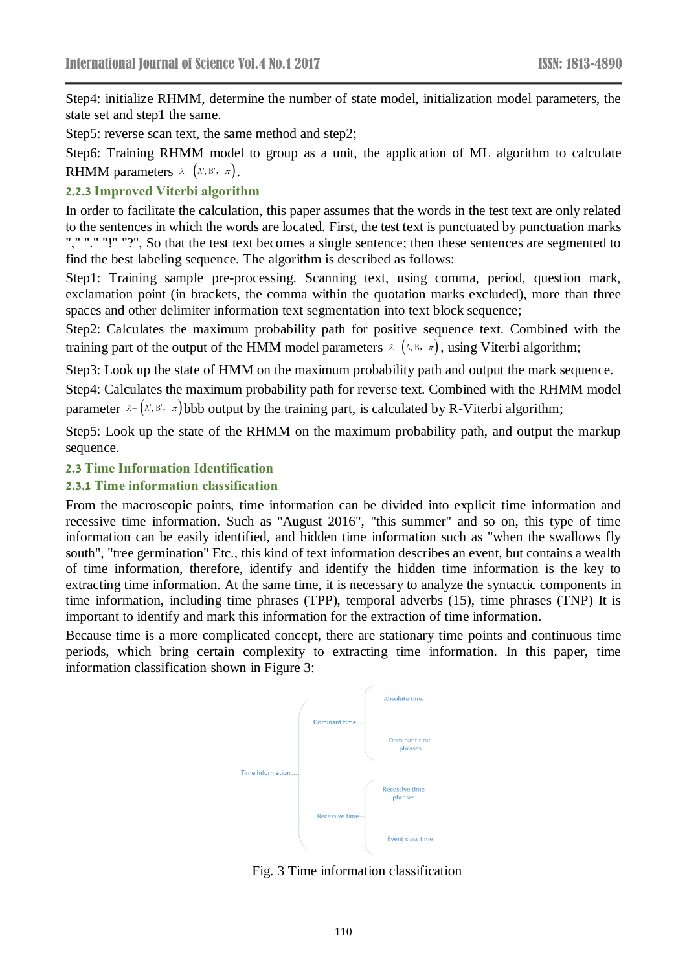Step4: initialize RHMM, determine the number of state model, initialization model parameters, the state set and step1 the same.

Step5: reverse scan text, the same method and step2;

Step6: Training RHMM model to group as a unit, the application of ML algorithm to calculate RHMM parameters  $\lambda = (A', B', \pi)$ .

#### **2.2.3 Improved Viterbi algorithm**

In order to facilitate the calculation, this paper assumes that the words in the test text are only related to the sentences in which the words are located. First, the test text is punctuated by punctuation marks "," "." "!" "?", So that the test text becomes a single sentence; then these sentences are segmented to find the best labeling sequence. The algorithm is described as follows:

Step1: Training sample pre-processing. Scanning text, using comma, period, question mark, exclamation point (in brackets, the comma within the quotation marks excluded), more than three spaces and other delimiter information text segmentation into text block sequence;

Step2: Calculates the maximum probability path for positive sequence text. Combined with the training part of the output of the HMM model parameters  $\lambda = (\lambda, B, \pi)$ , using Viterbi algorithm;

Step3: Look up the state of HMM on the maximum probability path and output the mark sequence.

Step4: Calculates the maximum probability path for reverse text. Combined with the RHMM model parameter  $\lambda = (A', B', \pi)$  bbb output by the training part, is calculated by R-Viterbi algorithm;

Step5: Look up the state of the RHMM on the maximum probability path, and output the markup sequence.

#### **2.3 Time Information Identification**

#### **2.3.1 Time information classification**

From the macroscopic points, time information can be divided into explicit time information and recessive time information. Such as "August 2016", "this summer" and so on, this type of time information can be easily identified, and hidden time information such as "when the swallows fly south", "tree germination" Etc., this kind of text information describes an event, but contains a wealth of time information, therefore, identify and identify the hidden time information is the key to extracting time information. At the same time, it is necessary to analyze the syntactic components in time information, including time phrases (TPP), temporal adverbs (15), time phrases (TNP) It is important to identify and mark this information for the extraction of time information.

Because time is a more complicated concept, there are stationary time points and continuous time periods, which bring certain complexity to extracting time information. In this paper, time information classification shown in Figure 3:



Fig. 3 Time information classification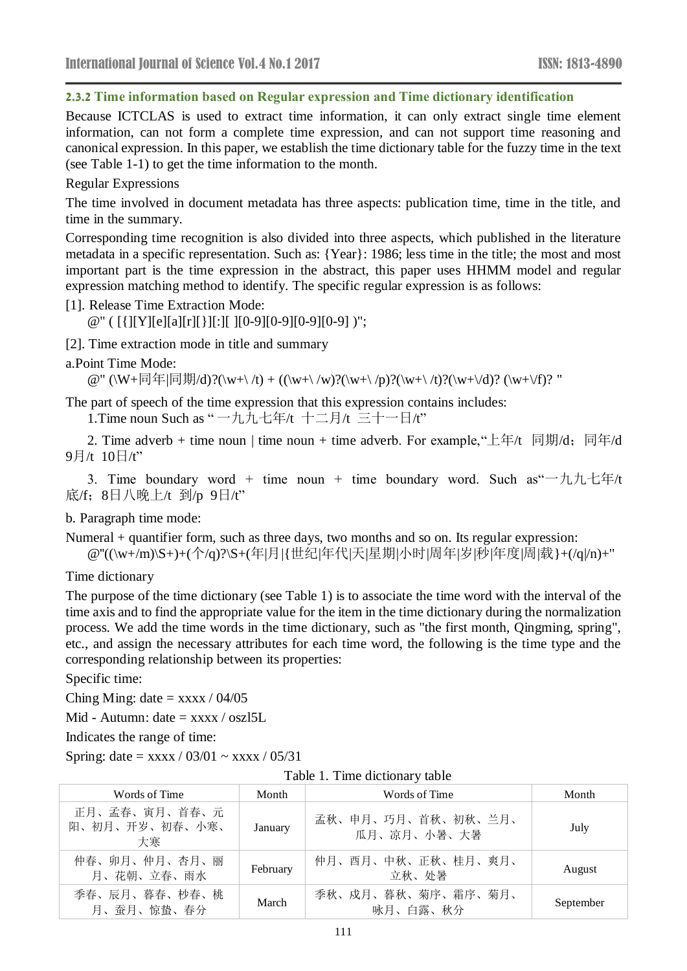#### **2.3.2 Time information based on Regular expression and Time dictionary identification**

Because ICTCLAS is used to extract time information, it can only extract single time element information, can not form a complete time expression, and can not support time reasoning and canonical expression. In this paper, we establish the time dictionary table for the fuzzy time in the text (see Table 1-1) to get the time information to the month.

## Regular Expressions

The time involved in document metadata has three aspects: publication time, time in the title, and time in the summary.

Corresponding time recognition is also divided into three aspects, which published in the literature metadata in a specific representation. Such as: {Year}: 1986; less time in the title; the most and most important part is the time expression in the abstract, this paper uses HHMM model and regular expression matching method to identify. The specific regular expression is as follows:

[1]. Release Time Extraction Mode:

@" ( [{][Y][e][a][r][}][:][ ][0-9][0-9][0-9][0-9] )";

[2]. Time extraction mode in title and summary

a.Point Time Mode:

@" (\W+同年|同期/d)?(\w+\ /t) + ((\w+\ /w)?(\w+\ /p)?(\w+\ /t)?(\w+\/d)? (\w+\/f)? "

The part of speech of the time expression that this expression contains includes:

1.Time noun Such as " 一九九七年/t 十二月/t 三十一日/t"

2. Time adverb + time noun | time noun + time adverb. For example, "上年 $\text{t}$  同期 $\text{d}$ ; 同年 $\text{d}$ 9月/t 10日/t"

3. Time boundary word + time noun + time boundary word. Such as  $-{\hbar}$ 九七年/t 底/f;8日八晚上/t 到/p 9日/t"

b. Paragraph time mode:

Numeral + quantifier form, such as three days, two months and so on. Its regular expression:

@"((\w+/m)\S+)+(个/q)?\S+(年|月|{世纪|年代|天|星期|小时|周年|岁|秒|年度|周|载}+(/q|/n)+"

Time dictionary

The purpose of the time dictionary (see Table 1) is to associate the time word with the interval of the time axis and to find the appropriate value for the item in the time dictionary during the normalization process. We add the time words in the time dictionary, such as "the first month, Qingming, spring", etc., and assign the necessary attributes for each time word, the following is the time type and the corresponding relationship between its properties:

Specific time:

Ching Ming: date =  $\frac{x}{x}$  / 04/05

Mid - Autumn: date  $=$  xxxx / oszl5L

Indicates the range of time:

Spring: date =  $\frac{x}{x}$  / 03/01 ~  $\frac{x}{x}$  / 05/31

|  | Table 1. Time dictionary table |
|--|--------------------------------|
|--|--------------------------------|

| Words of Time                         | Month    | Words of Time                     | Month     |
|---------------------------------------|----------|-----------------------------------|-----------|
| 正月、孟春、寅月、首春、元<br>阳、初月、开岁、初春、小寒、<br>大寒 | January  | 孟秋、申月、巧月、首秋、初秋、兰月、<br>瓜月、凉月、小暑、大暑 | July      |
| 仲春、卯月、仲月、杏月、丽<br>月、花朝、立春、雨水           | February | 仲月、酉月、中秋、正秋、桂月、爽月、<br>立秋、处暑       | August    |
| 季春、辰月、暮春、杪春、桃<br>月、蚕月、惊蛰、春分           | March    | 季秋、戍月、暮秋、菊序、霜序、菊月、<br>咏月、白露、秋分    | September |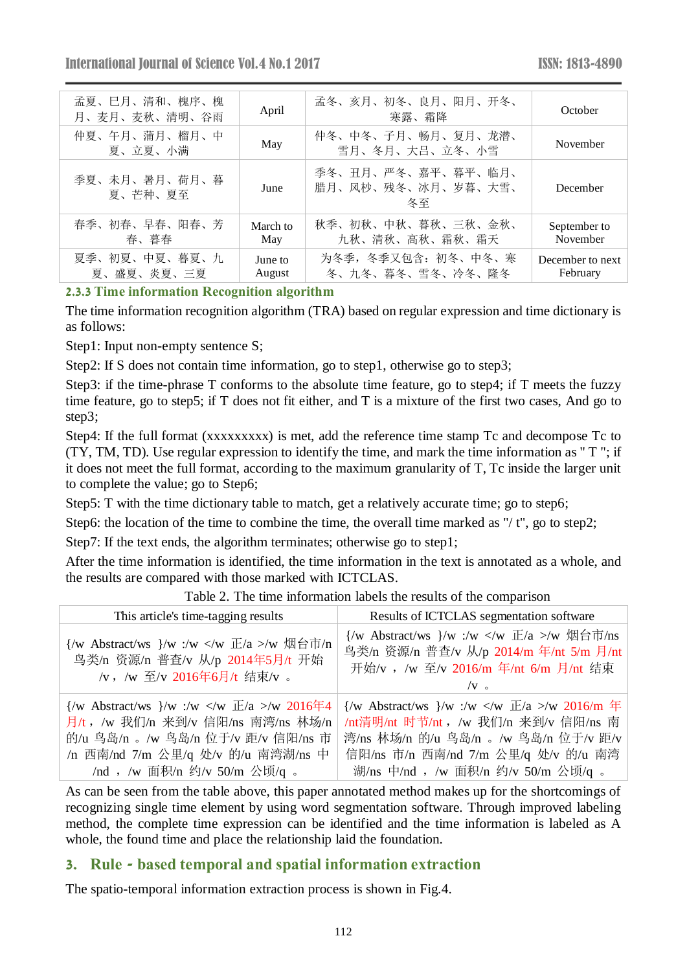| 孟夏、巳月、清和、槐序、槐<br>月、麦月、麦秋、清明、谷雨 | April             | 孟冬、亥月、初冬、良月、阳月、开冬、<br>寒露、霜降                    | October                      |
|--------------------------------|-------------------|------------------------------------------------|------------------------------|
| 仲夏、午月、蒲月、榴月、中<br>夏、立夏、小满       | May               | 仲冬、中冬、子月、畅月、复月、龙潜、<br>雪月、冬月、大吕、立冬、小雪           | November                     |
| 季夏、未月、暑月、荷月、暮<br>夏、芒种、夏至       | June              | 季冬、丑月、严冬、嘉平、暮平、临月、<br>腊月、风杪、残冬、冰月、岁暮、大雪、<br>冬至 | December                     |
| 春季、初春、早春、阳春、芳<br>春、暮春          | March to<br>May   | 秋季、初秋、中秋、暮秋、三秋、金秋、<br>九秋、清秋、高秋、霜秋、霜天           | September to<br>November     |
| 夏季、初夏、中夏、暮夏、九<br>夏、盛夏、炎夏、三夏    | June to<br>August | 为冬季, 冬季又包含: 初冬、中冬、寒<br>冬、九冬、暮冬、雪冬、冷冬、隆冬        | December to next<br>February |

### **2.3.3 Time information Recognition algorithm**

The time information recognition algorithm (TRA) based on regular expression and time dictionary is as follows:

Step1: Input non-empty sentence S;

Step2: If S does not contain time information, go to step1, otherwise go to step3;

Step3: if the time-phrase T conforms to the absolute time feature, go to step4; if T meets the fuzzy time feature, go to step5; if T does not fit either, and T is a mixture of the first two cases, And go to step3;

Step4: If the full format (xxxxxxxxx) is met, add the reference time stamp Tc and decompose Tc to (TY, TM, TD). Use regular expression to identify the time, and mark the time information as " T "; if it does not meet the full format, according to the maximum granularity of T, Tc inside the larger unit to complete the value; go to Step6;

Step5: T with the time dictionary table to match, get a relatively accurate time; go to step6;

Step6: the location of the time to combine the time, the overall time marked as "/ t", go to step2;

Step7: If the text ends, the algorithm terminates; otherwise go to step1;

After the time information is identified, the time information in the text is annotated as a whole, and the results are compared with those marked with ICTCLAS.

| This article's time-tagging results                                                                                                                                                                                     | Results of ICTCLAS segmentation software                                                                                                                                                                                                         |
|-------------------------------------------------------------------------------------------------------------------------------------------------------------------------------------------------------------------------|--------------------------------------------------------------------------------------------------------------------------------------------------------------------------------------------------------------------------------------------------|
| {/w Abstract/ws }/w :/w /w 烟台市/n<br>鸟类/n 资源/n 普查/v 从/p 2014年5月/t 开始<br>/v, /w 至/v 2016年6月/t 结束/v 。                                                                                                                      | {/w Abstract/ws }/w :/w /w 烟台市/ns<br>鸟类/n 资源/n 普查/v 从/p 2014/m 年/nt 5/m 月/nt<br>开始/v , /w 至/v 2016/m 年/nt 6/m 月/nt 结束<br>$/V$ $\sim$                                                                                                             |
| $\frac{1}{w}$ Abstract/ws $\frac{1}{w}$ :/w \mathbb{E}/a >/w 2016年4<br>月/t , /w 我们/n 来到/v 信阳/ns 南湾/ns 林场/n<br>的/u 鸟岛/n 。/w 鸟岛/n 位于/v 距/v 信阳/ns 市<br>/n 西南/nd 7/m 公里/q 处/v 的/u 南湾湖/ns 中<br>/nd , /w 面积/n 约/v 50/m 公顷/q 。 | $\frac{1}{w}$ Abstract/ws $\frac{1}{w}$ :/w \frac{1}{w} /a >/w 2016/m $\frac{1}{w}$<br>/nt清明/nt 时节/nt, /w 我们/n 来到/v 信阳/ns 南<br>湾/ns 林场/n 的/u 鸟岛/n 。/w 鸟岛/n 位于/v 距/v<br>信阳/ns 市/n 西南/nd 7/m 公里/q 处/v 的/u 南湾<br>湖/ns 中/nd ,/w 面积/n 约/v 50/m 公顷/q 。 |

Table 2. The time information labels the results of the comparison

As can be seen from the table above, this paper annotated method makes up for the shortcomings of recognizing single time element by using word segmentation software. Through improved labeling method, the complete time expression can be identified and the time information is labeled as A whole, the found time and place the relationship laid the foundation.

## **3. Rule - based temporal and spatial information extraction**

The spatio-temporal information extraction process is shown in Fig.4.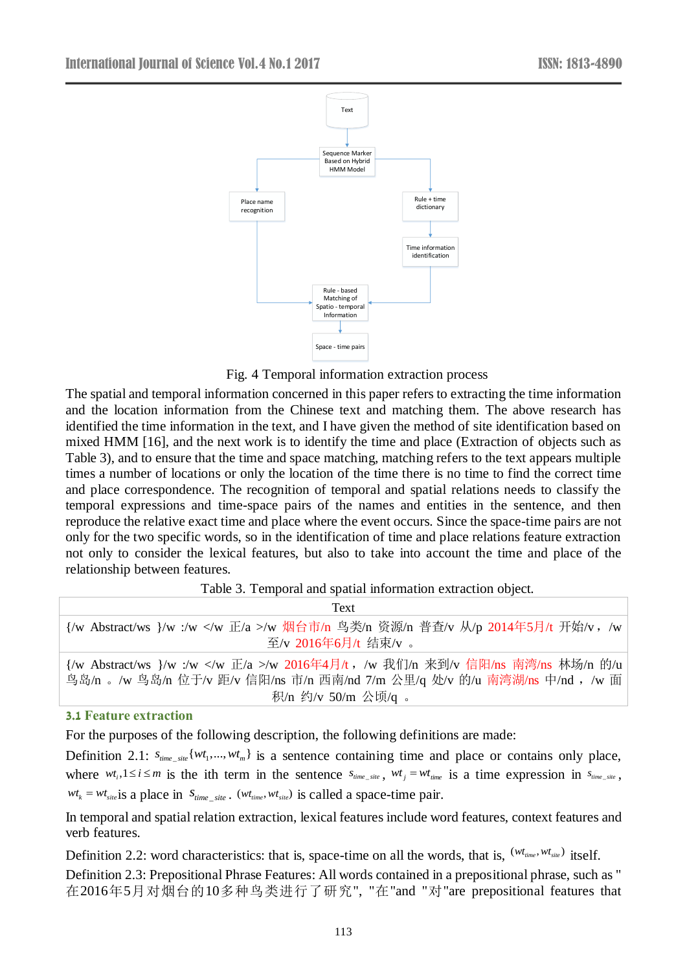

Fig. 4 Temporal information extraction process

The spatial and temporal information concerned in this paper refers to extracting the time information and the location information from the Chinese text and matching them. The above research has identified the time information in the text, and I have given the method of site identification based on mixed HMM [16], and the next work is to identify the time and place (Extraction of objects such as Table 3), and to ensure that the time and space matching, matching refers to the text appears multiple times a number of locations or only the location of the time there is no time to find the correct time and place correspondence. The recognition of temporal and spatial relations needs to classify the temporal expressions and time-space pairs of the names and entities in the sentence, and then reproduce the relative exact time and place where the event occurs. Since the space-time pairs are not only for the two specific words, so in the identification of time and place relations feature extraction not only to consider the lexical features, but also to take into account the time and place of the relationship between features.

| Table 3. Temporal and spatial information extraction object. |
|--------------------------------------------------------------|
|--------------------------------------------------------------|

| Text                                                                      |
|---------------------------------------------------------------------------|
| {/w Abstract/ws }/w :/w /w 烟台市/n 鸟类/n 资源/n 普查/v 从/p 2014年5月/t 开始/v , /w   |
| 至/v 2016年6月/t 结束/v 。                                                      |
| {/w Abstract/ws }/w :/w /w 2016年4月/t, /w 我们/n 来到/v 信阳/ns 南湾/ns 林场/n 的/u   |
| 鸟岛/n 。/w 鸟岛/n 位于/v 距/v 信阳/ns 市/n 西南/nd 7/m 公里/q 处/v 的/u 南湾湖/ns 中/nd ,/w 面 |
| 积/n 约/v 50/m 公顷/q 。                                                       |

#### **3.1 Feature extraction**

For the purposes of the following description, the following definitions are made:

Definition 2.1:  $s_{time\_site} \{wt_1, ..., wt_m\}$  is a sentence containing time and place or contains only place, where  $wt_i, 1 \le i \le m$  is the ith term in the sentence  $s_{time\_site}$ ,  $wt_j = wt_{time}$  is a time expression in  $s_{time\_site}$ ,  $wt_k = wt_{site}$  is a place in  $s_{time\_site}$ .  $(wt_{time}, wt_{site})$  is called a space-time pair.

In temporal and spatial relation extraction, lexical features include word features, context features and verb features.

Definition 2.2: word characteristics: that is, space-time on all the words, that is,  $(wt_{time}, wt_{site})$  itself. Definition 2.3: Prepositional Phrase Features: All words contained in a prepositional phrase, such as " 在2016年5月对烟台的10多种鸟类进行了研究", "在"and "对"are prepositional features that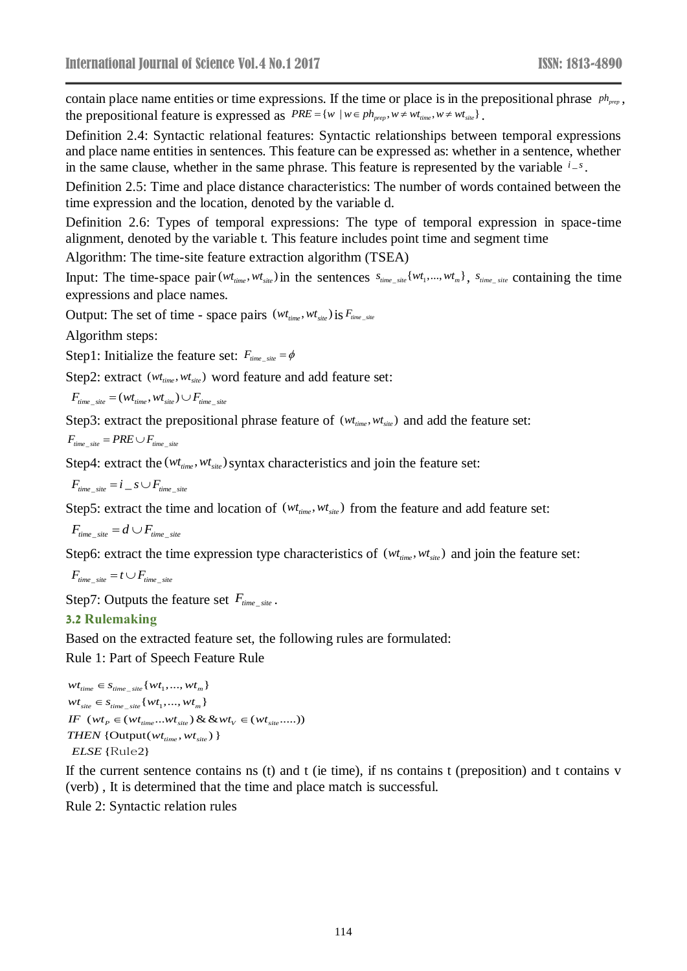contain place name entities or time expressions. If the time or place is in the prepositional phrase  $ph_{pre}$ , the prepositional feature is expressed as  $PRE = \{w \mid w \in ph_{\text{prep}}, w \neq wt_{\text{time}}, w \neq wt_{\text{site}}\}.$ 

Definition 2.4: Syntactic relational features: Syntactic relationships between temporal expressions and place name entities in sentences. This feature can be expressed as: whether in a sentence, whether in the same clause, whether in the same phrase. This feature is represented by the variable  $i-s$ .

Definition 2.5: Time and place distance characteristics: The number of words contained between the time expression and the location, denoted by the variable d.

Definition 2.6: Types of temporal expressions: The type of temporal expression in space-time alignment, denoted by the variable t. This feature includes point time and segment time

Algorithm: The time-site feature extraction algorithm (TSEA)

Input: The time-space pair  $(wt_{time}, wt_{site})$  in the sentences  $s_{time\_site} \{wt_1, ..., wt_m\}$ ,  $s_{time\_site}$  containing the time expressions and place names.

Output: The set of time - space pairs  $(wt_{time}, wt_{site})$  is  $F_{time\_site}$ 

Algorithm steps:

Step1: Initialize the feature set:  $F_{time\_site} = \phi$ 

Step2: extract ( $wt_{time}$ ,  $wt_{site}$ ) word feature and add feature set:

\_ \_  $F_{time \ site} = (Wt_{time}, Wt_{site}) \cup F_{time \ site}$ 

Step3: extract the prepositional phrase feature of  $(w_{t_{time}}, w_{t_{site}})$  and add the feature set:

$$
F_{time\_site} = PRE \cup F_{time\_site}
$$

Step4: extract the  $(wt_{time}, wt_{site})$  syntax characteristics and join the feature set:

$$
F_{time\_site} = i \_s \cup F_{time\_site}
$$

Step5: extract the time and location of  $(w_{t_{time}}, w_{t_{site}})$  from the feature and add feature set:

 $F_{time\_site} = d \cup F_{time\_site}$ 

Step6: extract the time expression type characteristics of  $(wt_{time}, wt_{site})$  and join the feature set:

$$
F_{time\_site} = t \cup F_{time\_site}
$$

Step7: Outputs the feature set  $F_{time\_site}$ .

#### **3.2 Rulemaking**

Based on the extracted feature set, the following rules are formulated:

Rule 1: Part of Speech Feature Rule

```
wt_{time} \in s_{time\_site} { wt_1, ..., wt_m }
wt_{site} \in s_{time\_site} { wt_1, ..., wt_m }
THEN { Output(wt_{time}, wt_{site}) }
IF (wt_{p} \in (wt_{time}...wt_{site}) \& \& wt_{V} \in (wt_{site}...)){ 2}
ELSE
Rule
```
If the current sentence contains ns (t) and t (ie time), if ns contains t (preposition) and t contains v (verb) , It is determined that the time and place match is successful.

Rule 2: Syntactic relation rules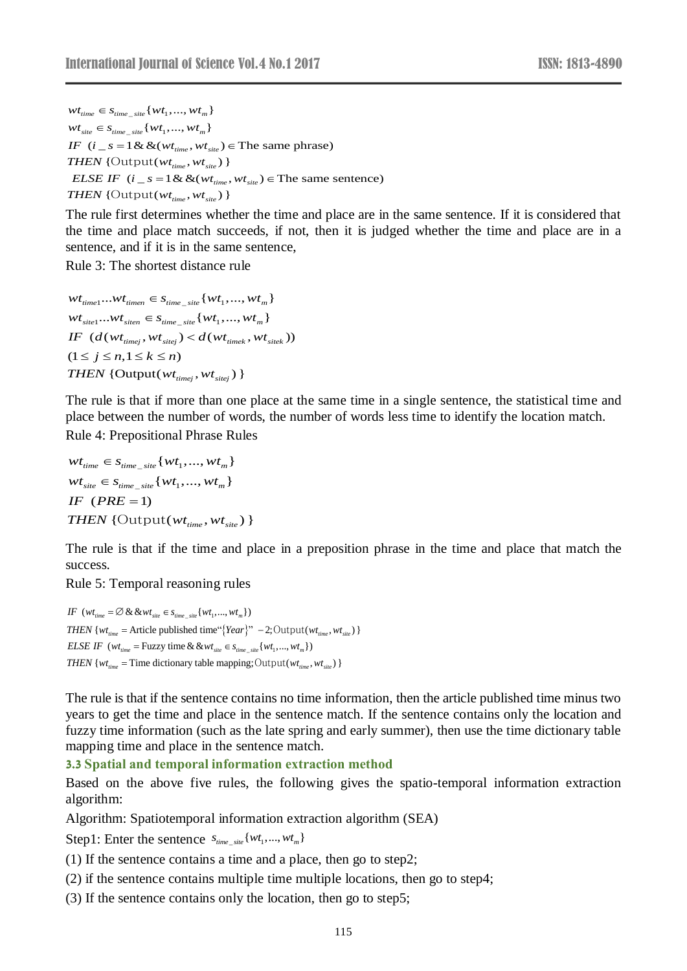$wt_{time} \in s_{time\_site}$  {  $wt_1, ..., wt_m$  }  $wt_{site} \in s_{time\_site}$  {  $wt_1, ..., wt_m$  } IF  $(i_s = 1 \& \& (wt_{time}, wt_{site}) \in \text{The same phrase})$ *THEN* {Output( $wt_{time}$ ,  $wt_{site}$ ) } *ELSE IF*  $(i_s = 1 \& \& (wt_{time}, wt_{site}) \in \text{The same sentence})$  $THEN$  {Output( $wt_{time}$ ,  $wt_{site}$ ) }

The rule first determines whether the time and place are in the same sentence. If it is considered that the time and place match succeeds, if not, then it is judged whether the time and place are in a sentence, and if it is in the same sentence,

Rule 3: The shortest distance rule

 $wt_{\text{time1}}...wt_{\text{time}} \in s_{\text{time}}$   $\{wt_1, ..., wt_m\}$  $wt_{site1}...wt_{site1} \in s_{time\_site}$  {  $wt_1, ..., wt_m$  } *THEN* {Output( $wt_{timej}$ ,  $wt_{site}$ ) }  $IF \left(d{\left(wt^{\text{}}_{timej}, wt^{\text{}}_{site}\right)} < d{\left(wt^{\text{}}_{timek}, wt^{\text{}}_{site}\right)}\right)$  $(1 \le j \le n, 1 \le k \le n)$ 

The rule is that if more than one place at the same time in a single sentence, the statistical time and place between the number of words, the number of words less time to identify the location match. Rule 4: Prepositional Phrase Rules

 $wt_{\scriptsize{time}} \in s_{\scriptsize{time-site}}$  {  $wt_1, ..., wt_m$  }  $wt_{\textit{site}} \in s_{\textit{time\_site}} \{wt_1, ..., wt_m\}$  $IF$   $(PRE = 1)$ *THEN* {Output( $wt_{time}$ ,  $wt_{site}$ ) }

The rule is that if the time and place in a preposition phrase in the time and place that match the success.

Rule 5: Temporal reasoning rules

*THEN* {*wt<sub>time</sub>* = Article published time"{*Year*}" -2; Output(*wt<sub>time</sub>*, *wt*<sub>site</sub>) } *IF*  $(wt_{time} = \emptyset \& wt_{site} \in s_{time\_site} \{wt_1, ..., wt_m\})$ *ELSE IF*  $(wt_{time} = \text{Fuzzy time} \& \& wt_{site} \in s_{time \ site} \{wt_1, ..., wt_m\})$ *THEN* { $wt_{time}$  = Time dictionary table mapping; Output( $wt_{time}$ ,  $wt_{site}$ ) }

The rule is that if the sentence contains no time information, then the article published time minus two years to get the time and place in the sentence match. If the sentence contains only the location and fuzzy time information (such as the late spring and early summer), then use the time dictionary table mapping time and place in the sentence match.

**3.3 Spatial and temporal information extraction method**

Based on the above five rules, the following gives the spatio-temporal information extraction algorithm:

Algorithm: Spatiotemporal information extraction algorithm (SEA)

Step1: Enter the sentence  $s_{time\_site} \{wt_1, ..., wt_m\}$ 

(1) If the sentence contains a time and a place, then go to step2;

- (2) if the sentence contains multiple time multiple locations, then go to step4;
- (3) If the sentence contains only the location, then go to step5;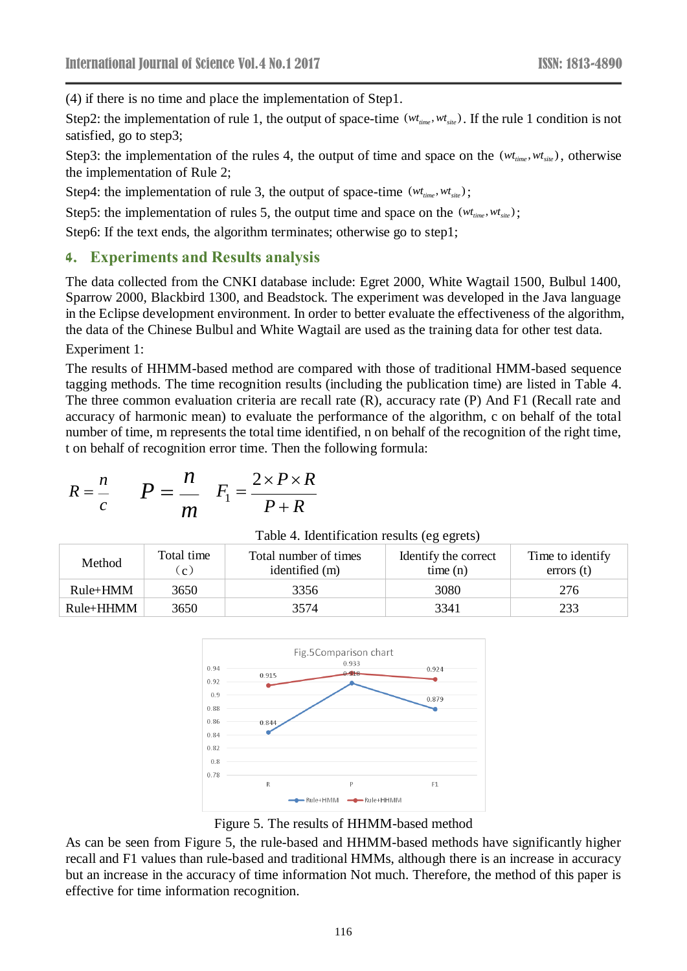(4) if there is no time and place the implementation of Step1.

Step2: the implementation of rule 1, the output of space-time  $(wt_{time}, wt_{site})$ . If the rule 1 condition is not satisfied, go to step3;

Step3: the implementation of the rules 4, the output of time and space on the  $(wt_{time}, wt_{site})$ , otherwise the implementation of Rule 2;

Step4: the implementation of rule 3, the output of space-time  $(wt_{time}, wt_{site})$ ;

Step5: the implementation of rules 5, the output time and space on the  $(w_{t_{time}}, w_{t_{site}})$ ;

Step6: If the text ends, the algorithm terminates; otherwise go to step1;

## **4. Experiments and Results analysis**

The data collected from the CNKI database include: Egret 2000, White Wagtail 1500, Bulbul 1400, Sparrow 2000, Blackbird 1300, and Beadstock. The experiment was developed in the Java language in the Eclipse development environment. In order to better evaluate the effectiveness of the algorithm, the data of the Chinese Bulbul and White Wagtail are used as the training data for other test data.

Experiment 1:

The results of HHMM-based method are compared with those of traditional HMM-based sequence tagging methods. The time recognition results (including the publication time) are listed in Table 4. The three common evaluation criteria are recall rate (R), accuracy rate (P) And F1 (Recall rate and accuracy of harmonic mean) to evaluate the performance of the algorithm, c on behalf of the total number of time, m represents the total time identified, n on behalf of the recognition of the right time, t on behalf of recognition error time. Then the following formula:

$$
R = \frac{n}{c} \qquad P = \frac{n}{m} \quad F_1 = \frac{2 \times P \times R}{P + R}
$$

| $ \sim$ 1<br>m | $P+R$                                       |
|----------------|---------------------------------------------|
|                | Table 4. Identification results (eg egrets) |

| Method      | Total time<br>$\mathbf{c}$ . | Total number of times<br>identified (m) | Identify the correct<br>time(n) | Time to identify<br>error <sub>s</sub> (t) |
|-------------|------------------------------|-----------------------------------------|---------------------------------|--------------------------------------------|
| Rule+HMM    | 3650                         | 3356                                    | 3080                            | 276                                        |
| $Rule+HHMM$ | 3650                         | 3574                                    | 3341                            | 233                                        |



Figure 5. The results of HHMM-based method

As can be seen from Figure 5, the rule-based and HHMM-based methods have significantly higher recall and F1 values than rule-based and traditional HMMs, although there is an increase in accuracy but an increase in the accuracy of time information Not much. Therefore, the method of this paper is effective for time information recognition.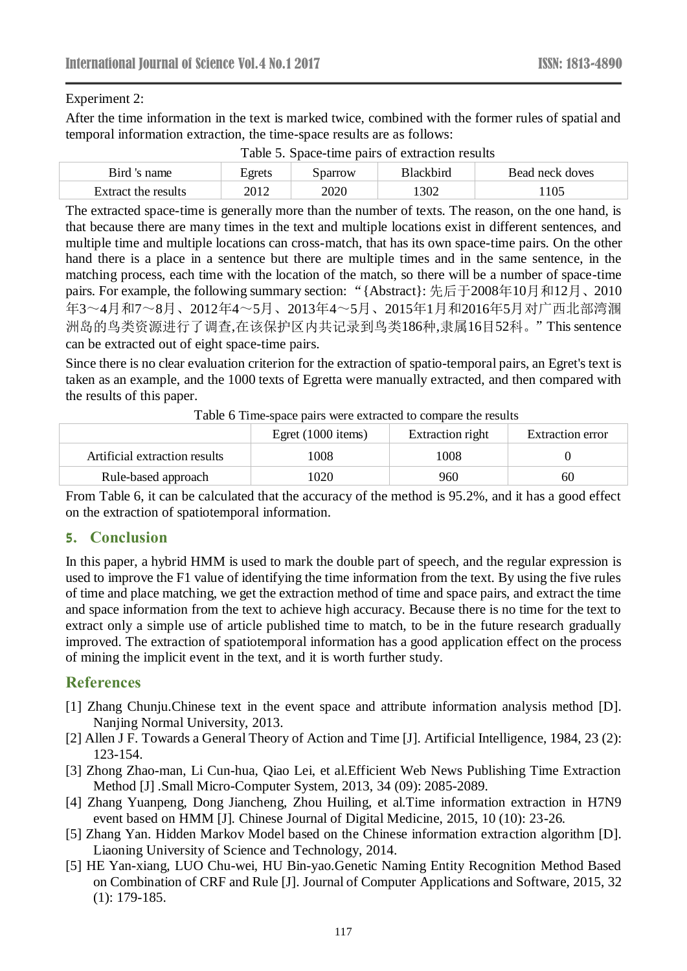#### Experiment 2:

After the time information in the text is marked twice, combined with the former rules of spatial and temporal information extraction, the time-space results are as follows:

| Bird 's<br>name     | Egrets | parrow | Blackbird | Bead neck doves |
|---------------------|--------|--------|-----------|-----------------|
| Extract the results | 2012   | 2020   | 302       | 105             |

Table 5. Space-time pairs of extraction results

The extracted space-time is generally more than the number of texts. The reason, on the one hand, is that because there are many times in the text and multiple locations exist in different sentences, and multiple time and multiple locations can cross-match, that has its own space-time pairs. On the other hand there is a place in a sentence but there are multiple times and in the same sentence, in the matching process, each time with the location of the match, so there will be a number of space-time pairs. For example, the following summary section: "{Abstract}: 先后于2008年10月和12月、2010 年3~4月和7~8月、2012年4~5月、2013年4~5月、2015年1月和2016年5月对广西北部湾涠 洲岛的鸟类资源进行了调查,在该保护区内共记录到鸟类186种,隶属16目52科。"This sentence can be extracted out of eight space-time pairs.

Since there is no clear evaluation criterion for the extraction of spatio-temporal pairs, an Egret's text is taken as an example, and the 1000 texts of Egretta were manually extracted, and then compared with the results of this paper.

| Twore of This space pairs were extracted to compare the results |                      |                  |                  |  |
|-----------------------------------------------------------------|----------------------|------------------|------------------|--|
|                                                                 | Egret $(1000$ items) | Extraction right | Extraction error |  |
| Artificial extraction results                                   | 1008                 | 1008             |                  |  |
| Rule-based approach                                             | 1020                 | 960              | 60               |  |

Table 6 Time-space pairs were extracted to compare the results

From Table 6, it can be calculated that the accuracy of the method is 95.2%, and it has a good effect on the extraction of spatiotemporal information.

## **5. Conclusion**

In this paper, a hybrid HMM is used to mark the double part of speech, and the regular expression is used to improve the F1 value of identifying the time information from the text. By using the five rules of time and place matching, we get the extraction method of time and space pairs, and extract the time and space information from the text to achieve high accuracy. Because there is no time for the text to extract only a simple use of article published time to match, to be in the future research gradually improved. The extraction of spatiotemporal information has a good application effect on the process of mining the implicit event in the text, and it is worth further study.

## **References**

- [1] Zhang Chunju.Chinese text in the event space and attribute information analysis method [D]. Nanjing Normal University, 2013.
- [2] Allen J F. Towards a General Theory of Action and Time [J]. Artificial Intelligence, 1984, 23 (2): 123-154.
- [3] Zhong Zhao-man, Li Cun-hua, Qiao Lei, et al.Efficient Web News Publishing Time Extraction Method [J] .Small Micro-Computer System, 2013, 34 (09): 2085-2089.
- [4] Zhang Yuanpeng, Dong Jiancheng, Zhou Huiling, et al.Time information extraction in H7N9 event based on HMM [J]. Chinese Journal of Digital Medicine, 2015, 10 (10): 23-26.
- [5] Zhang Yan. Hidden Markov Model based on the Chinese information extraction algorithm [D]. Liaoning University of Science and Technology, 2014.
- [5] HE Yan-xiang, LUO Chu-wei, HU Bin-yao.Genetic Naming Entity Recognition Method Based on Combination of CRF and Rule [J]. Journal of Computer Applications and Software, 2015, 32 (1): 179-185.